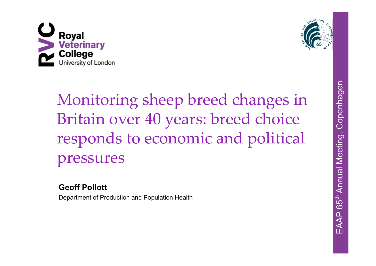



# Monitoring sheep breed changes in Britain over 40 years: breed choice responds to economic and political pressures

#### **Geoff Pollott**

Department of Production and Population Health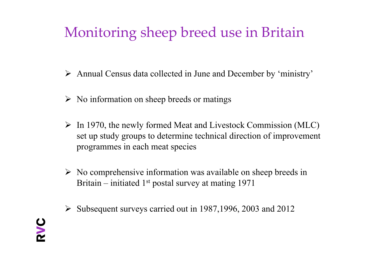## Monitoring sheep breed use in Britain

- Annual Census data collected in June and December by 'ministry'
- $\triangleright$  No information on sheep breeds or matings
- $\triangleright$  In 1970, the newly formed Meat and Livestock Commission (MLC) set up study groups to determine technical direction of improvement programmes in each meat species
- $\triangleright$  No comprehensive information was available on sheep breeds in Britain – initiated  $1<sup>st</sup>$  postal survey at mating 1971
- $\triangleright$  Subsequent surveys carried out in 1987, 1996, 2003 and 2012

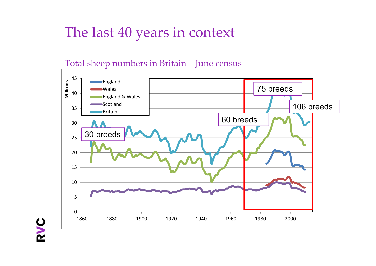## The last 40 years in context

#### Total sheep numbers in Britain – June census

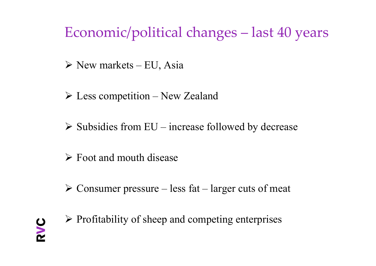## Economic/political changes – last 40 years

- $\triangleright$  New markets EU, Asia
- Less competition New Zealand
- $\triangleright$  Subsidies from EU increase followed by decrease
- $\triangleright$  Foot and mouth disease
- $\triangleright$  Consumer pressure less fat larger cuts of meat



 $\triangleright$  Profitability of sheep and competing enterprises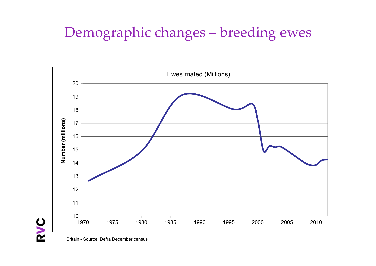## Demographic changes – breeding ewes



Britain - Source: Defra December census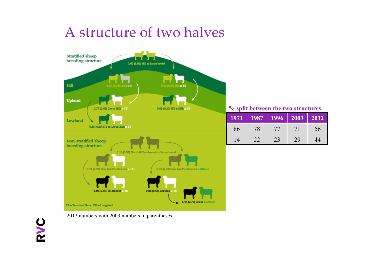## A structure of two halves



**% split between the two structures**

| 1971 | 1987 | 1996 |    | $\parallel$ 2012 |
|------|------|------|----|------------------|
| 86   | 78   | 77   | 71 | 56               |
| 14   | 22   | 23   | 29 | 44               |

PVC

2012 numbers with 2003 numbers in parentheses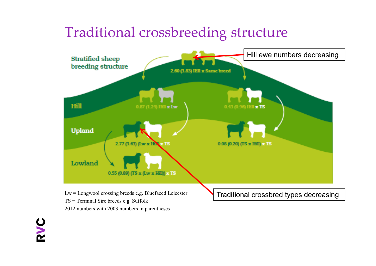#### Traditional crossbreeding structure



2012 numbers with 2003 numbers in parentheses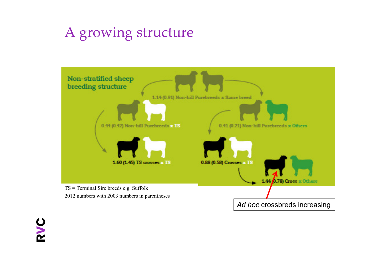## A growing structure



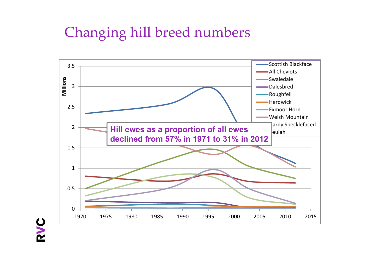## Changing hill breed numbers

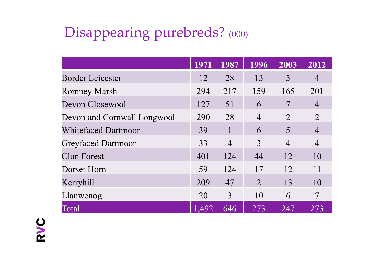## Disappearing purebreds? (000)

|                             | 1971  | 1987           | 1996           | 2003           | 2012           |
|-----------------------------|-------|----------------|----------------|----------------|----------------|
| <b>Border Leicester</b>     | 12    | 28             | 13             | 5              | $\overline{4}$ |
| <b>Romney Marsh</b>         | 294   | 217            | 159            | 165            | 201            |
| Devon Closewool             | 127   | 51             | 6              | 7              | $\overline{4}$ |
| Devon and Cornwall Longwool | 290   | 28             | $\overline{4}$ | $\overline{2}$ | $\overline{2}$ |
| <b>Whitefaced Dartmoor</b>  | 39    | 1              | 6              | 5              | $\overline{4}$ |
| <b>Greyfaced Dartmoor</b>   | 33    | $\overline{4}$ | 3              | $\overline{4}$ | $\overline{4}$ |
| <b>Clun Forest</b>          | 401   | 124            | 44             | 12             | 10             |
| Dorset Horn                 | 59    | 124            | 17             | 12             | 11             |
| Kerryhill                   | 209   | 47             | $\mathcal{L}$  | 13             | 10             |
| Llanwenog                   | 20    | 3              | 10             | 6              | $\overline{7}$ |
| Total                       | 1,492 | 646            | 273            | 247            | 273            |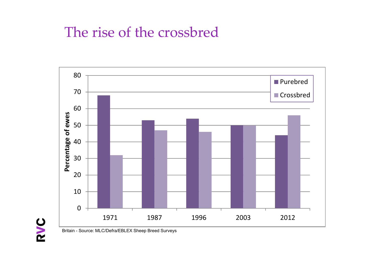#### The rise of the crossbred



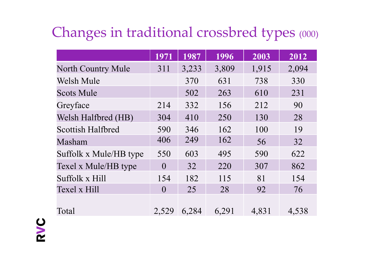## Changes in traditional crossbred types (000)

| 1971     | 1987  | 1996  | 2003  | 2012  |
|----------|-------|-------|-------|-------|
| 311      | 3,233 | 3,809 | 1,915 | 2,094 |
|          | 370   | 631   | 738   | 330   |
|          | 502   | 263   | 610   | 231   |
| 214      | 332   | 156   | 212   | 90    |
| 304      | 410   | 250   | 130   | 28    |
| 590      | 346   | 162   | 100   | 19    |
| 406      | 249   | 162   | 56    | 32    |
| 550      | 603   | 495   | 590   | 622   |
| $\theta$ | 32    | 220   | 307   | 862   |
| 154      | 182   | 115   | 81    | 154   |
| $\theta$ | 25    | 28    | 92    | 76    |
|          |       |       |       | 4,538 |
|          | 2,529 | 6,284 | 6,291 | 4,831 |

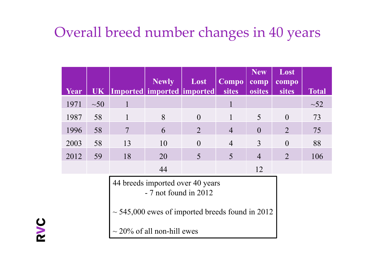## Overall breed number changes in 40 years

| Year | UK                                                                                                                                                    |                | <b>Newly</b><br> Imported  imported  imported | Lost     | Compo<br>sites | <b>New</b><br>comp<br>osites | Lost<br>compo<br>sites | <b>Total</b> |
|------|-------------------------------------------------------------------------------------------------------------------------------------------------------|----------------|-----------------------------------------------|----------|----------------|------------------------------|------------------------|--------------|
| 1971 | $\sim 50$                                                                                                                                             | $\mathbf{1}$   |                                               |          |                |                              |                        | $\sim$ 52    |
| 1987 | 58                                                                                                                                                    | 1              | 8                                             | $\theta$ |                | 5                            | $\theta$               | 73           |
| 1996 | 58                                                                                                                                                    | $\overline{7}$ | 6                                             | 2        | $\overline{4}$ | $\overline{0}$               | $\overline{2}$         | 75           |
| 2003 | 58                                                                                                                                                    | 13             | 10                                            | $\theta$ | $\overline{4}$ | 3                            | $\theta$               | 88           |
| 2012 | 59                                                                                                                                                    | 18             | 20                                            | 5        | 5              | $\overline{4}$               | $\overline{2}$         | 106          |
|      |                                                                                                                                                       |                | 44                                            |          |                | 12                           |                        |              |
|      | 44 breeds imported over 40 years<br>$-7$ not found in 2012<br>$\sim$ 545,000 ewes of imported breeds found in 2012<br>$\sim$ 20% of all non-hill ewes |                |                                               |          |                |                              |                        |              |

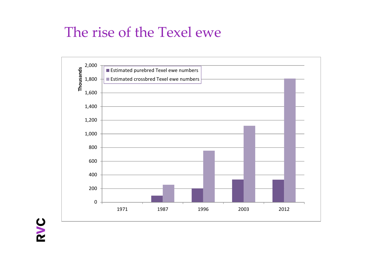#### The rise of the Texel ewe

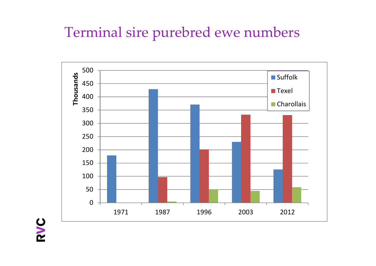## Terminal sire purebred ewe numbers

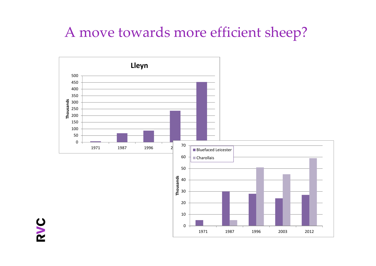## A move towards more efficient sheep?

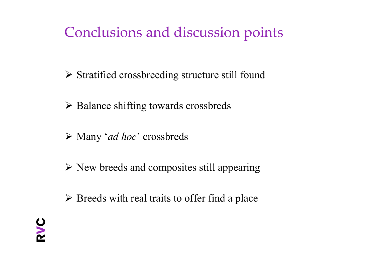## Conclusions and discussion points

- Stratified crossbreeding structure still found
- **► Balance shifting towards crossbreds**
- Many '*ad hoc*' crossbreds
- New breeds and composites still appearing
- $\triangleright$  Breeds with real traits to offer find a place

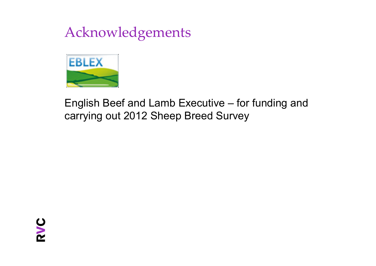## Acknowledgements



#### English Beef and Lamb Executive – for funding and carrying out 2012 Sheep Breed Survey

PVC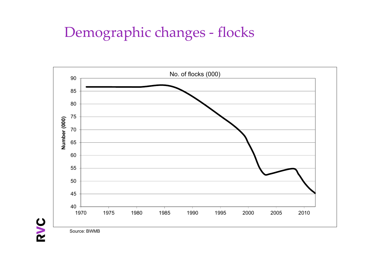### Demographic changes ‐ flocks



Source: BWMB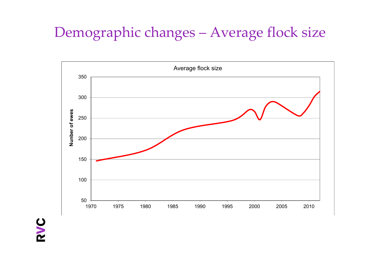## Demographic changes – Average flock size